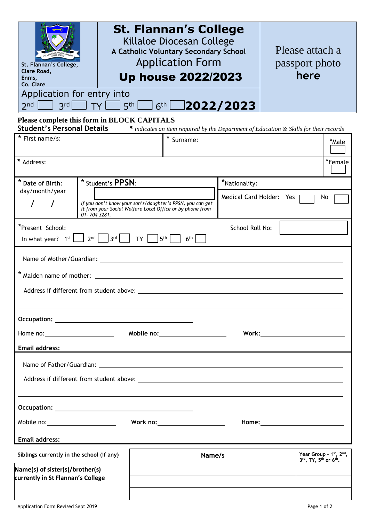| St. Flannan's College,<br>Clare Road,<br>Ennis,<br>Co. Clare<br>Application for entry into<br>3rd<br>2 <sub>nd</sub>                                                                                                                                   | <b>TY</b>   | <b>St. Flannan's College</b><br>Killaloe Diocesan College<br>A Catholic Voluntary Secondary School<br><b>Application Form</b><br><b>Up house 2022/2023</b> |                                                                                                               | Please attach a<br>passport photo<br>here |                                                                                      |  |
|--------------------------------------------------------------------------------------------------------------------------------------------------------------------------------------------------------------------------------------------------------|-------------|------------------------------------------------------------------------------------------------------------------------------------------------------------|---------------------------------------------------------------------------------------------------------------|-------------------------------------------|--------------------------------------------------------------------------------------|--|
| 6th 2022/2023<br>$5th$ $\Box$<br>Please complete this form in BLOCK CAPITALS                                                                                                                                                                           |             |                                                                                                                                                            |                                                                                                               |                                           |                                                                                      |  |
| <b>Student's Personal Details</b><br>* First name/s:                                                                                                                                                                                                   |             |                                                                                                                                                            | * indicates an item required by the Department of Education & Skills for their records<br><i><b>*Male</b></i> |                                           |                                                                                      |  |
| * Address:<br>*Female                                                                                                                                                                                                                                  |             |                                                                                                                                                            |                                                                                                               |                                           |                                                                                      |  |
| * Date of Birth:<br>* Student's PPSN:                                                                                                                                                                                                                  |             |                                                                                                                                                            | *Nationality:                                                                                                 |                                           |                                                                                      |  |
| day/month/year                                                                                                                                                                                                                                         | 01-7043281. | If you don't know your son's/daughter's PPSN, you can get<br>it from your Social Welfare Local Office or by phone from                                     |                                                                                                               | Medical Card Holder: Yes                  | No                                                                                   |  |
| *Present School:<br>School Roll No:<br>$2nd$   $3rd$  <br>TY  <br>5 <sup>th</sup><br>6 <sup>th</sup><br>In what year? $1^{st}$                                                                                                                         |             |                                                                                                                                                            |                                                                                                               |                                           |                                                                                      |  |
|                                                                                                                                                                                                                                                        |             |                                                                                                                                                            |                                                                                                               |                                           |                                                                                      |  |
| * Maiden name of mother:                                                                                                                                                                                                                               |             |                                                                                                                                                            |                                                                                                               |                                           |                                                                                      |  |
| Address if different from student above:                                                                                                                                                                                                               |             |                                                                                                                                                            |                                                                                                               |                                           |                                                                                      |  |
|                                                                                                                                                                                                                                                        |             |                                                                                                                                                            |                                                                                                               |                                           |                                                                                      |  |
|                                                                                                                                                                                                                                                        |             |                                                                                                                                                            |                                                                                                               |                                           |                                                                                      |  |
| <b>Email address:</b>                                                                                                                                                                                                                                  |             |                                                                                                                                                            |                                                                                                               |                                           |                                                                                      |  |
| Name of Father/Guardian: 2008 2014 2022 2023 2024 2024 2022 2023 2024 2022 2023 2024 2022 2023 2024 2022 2023 2024 2022 2023 2024 2022 2023 2024 2022 2023 2024 2022 2023 2024 2022 2023 2024 2023 2024 2022 2023 2024 2022 20                         |             |                                                                                                                                                            |                                                                                                               |                                           |                                                                                      |  |
|                                                                                                                                                                                                                                                        |             |                                                                                                                                                            |                                                                                                               |                                           |                                                                                      |  |
|                                                                                                                                                                                                                                                        |             |                                                                                                                                                            |                                                                                                               |                                           |                                                                                      |  |
| Work no:______________________<br>Mobile no: ________________________                                                                                                                                                                                  |             |                                                                                                                                                            |                                                                                                               |                                           |                                                                                      |  |
| Email address:<br><u>and the contract of the contract of the contract of the contract of the contract of the contract of the contract of the contract of the contract of the contract of the contract of the contract of the contract of the contr</u> |             |                                                                                                                                                            |                                                                                                               |                                           |                                                                                      |  |
| Siblings currently in the school (if any)                                                                                                                                                                                                              |             |                                                                                                                                                            | Name/s                                                                                                        |                                           | Year Group - 1st, 2nd,<br>$3^{\text{rd}}$ , TY, $5^{\text{th}}$ or $6^{\text{th}}$ . |  |
| Name(s) of sister(s)/brother(s)<br>currently in St Flannan's College                                                                                                                                                                                   |             |                                                                                                                                                            |                                                                                                               |                                           |                                                                                      |  |
|                                                                                                                                                                                                                                                        |             |                                                                                                                                                            |                                                                                                               |                                           |                                                                                      |  |